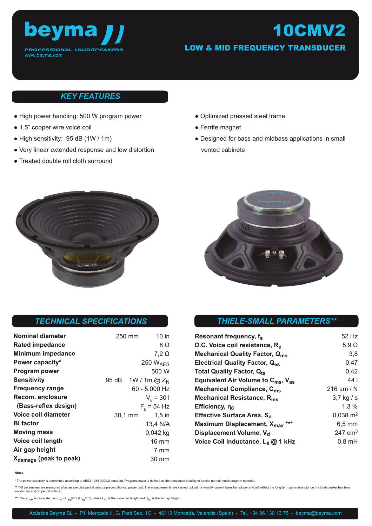

# 10CMV2

LOW & MID FREQUENCY TRANSDUCER

### *KEY FEATURES*

- High power handling: 500 W program power
- 1.5" copper wire voice coil
- High sensitivity: 95 dB (1W / 1m)
- Very linear extended response and low distortion
- Treated double roll cloth surround
- Optimized pressed steel frame
- Ferrite magnet
- Designed for bass and midbass applications in small vented cabinets





#### *TECHNICAL SPECIFICATIONS*

| <b>Nominal diameter</b>            | 250 mm  | 10 in                |
|------------------------------------|---------|----------------------|
| Rated impedance                    |         | 8 Ω                  |
| <b>Minimum impedance</b>           |         | $7,2 \Omega$         |
| Power capacity*                    |         | 250 $W_{\text{AFS}}$ |
| <b>Program power</b>               |         | 500 W                |
| <b>Sensitivity</b>                 | 95 dB   | 1W / 1m @ $Z_{N}$    |
| <b>Frequency range</b>             |         | 60 - 5.000 Hz        |
| Recom. enclosure                   |         | $V_h = 301$          |
| (Bass-reflex design)               |         | $F_{h}$ = 54 Hz      |
| Voice coil diameter                | 38,1 mm | $1,5$ in             |
| <b>BI</b> factor                   |         | 13,4 N/A             |
| <b>Moving mass</b>                 |         | $0,042$ kg           |
| Voice coil length                  |         | $16 \text{ mm}$      |
| Air gap height                     |         | 7 mm                 |
| X <sub>damage</sub> (peak to peak) |         | 30 mm                |

#### *THIELE-SMALL PARAMETERS\*\**

| Resonant frequency, f <sub>s</sub>                         | 52 Hz               |
|------------------------------------------------------------|---------------------|
| D.C. Voice coil resistance, R <sub>e</sub>                 | $5,9$ $\Omega$      |
| <b>Mechanical Quality Factor, Qms</b>                      | 3,8                 |
| Electrical Quality Factor, Q <sub>es</sub>                 | 0,47                |
| <b>Total Quality Factor, Qts</b>                           | 0,42                |
| Equivalent Air Volume to $C_{\text{ms}}$ , $V_{\text{as}}$ | 44 I                |
| Mechanical Compliance, C <sub>ms</sub>                     | 216 $\mu$ m / N     |
| Mechanical Resistance, R <sub>ms</sub>                     | $3.7$ kg / s        |
| Efficiency, no                                             | $1.3\%$             |
| Effective Surface Area, S <sub>d</sub>                     | $0,038 \text{ m}^2$ |
| Maximum Displacement, X <sub>max</sub> ***                 | $6,5 \text{ mm}$    |
| Displacement Volume, V <sub>d</sub>                        | 247 $cm3$           |
| Voice Coil Inductance, L <sub>e</sub> @ 1 kHz              | $0,8$ mH            |

**Notes**:

\* The power capaticty is determined according to AES2-1984 (r2003) standard. Program power is defined as the transducer's ability to handle normal music program material.

\*\* T-S parameters are measured after an exercise period using a preconditioning power test. The measurements are carried out with a velocity-current laser transducer and will reflect the long term parameters (once the loud working for a short period of time).

\*\*\* The  $X_{max}$  is calculated as  $(L_{VC} - H_{aq}/2 + (H_{aq}/3,5)$ , where  $L_{VC}$  is the voice coil length and  $H_{aq}$  is the air gap height.